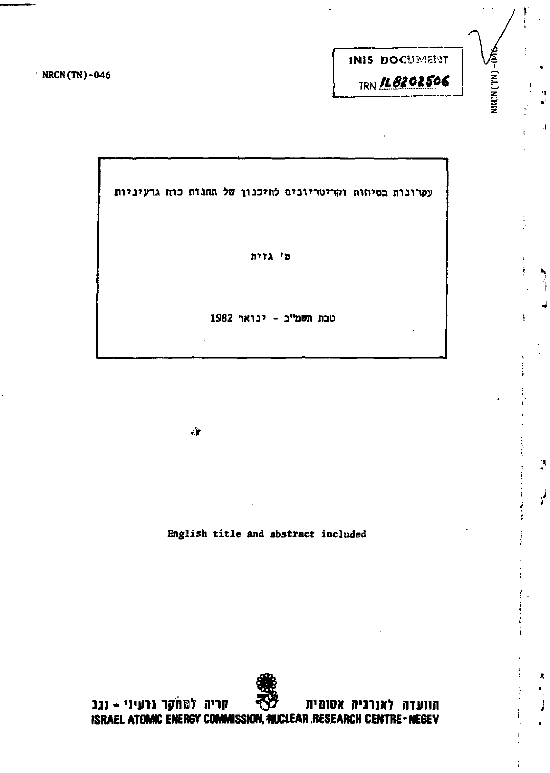NRCN(TN)-046



ă, į

ار.<br>د Ì

עקרונות בסיחות וקריטריונים לתיכנון של תחנות כוח גרעיניות

מי גזית

טכת תסמ"ב - ינואר 1982

Ã.

English title and abstract included



קריה למחקר נרעיני - נגב הוועדה לאנרגיה אסומית ISRAEL ATOMIC ENERGY COMMISSION. NUCLEAR RESEARCH CENTRE-MEGEV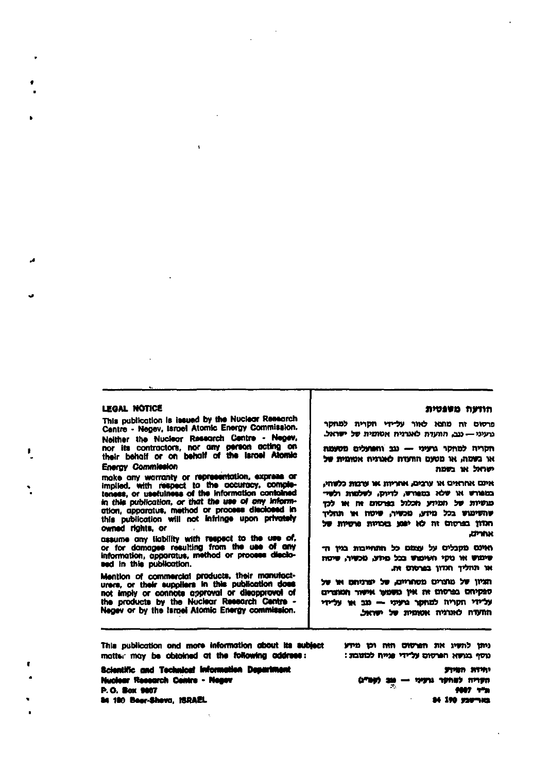#### **I FOAL NOTICE**

This publication is issued by the Nuclear Research Centre - Negev, Isroel Atomic Energy Commission. Neither the Nuclear Research Centre - Negev, nor its contractors, nor any person acting on<br>their behalf or on behalf of the Israel Alomic Energy Commission

make any warranty or representation, express or implied, with respect to the accuracy, comple-tenees, or usefulness of the information contained in this publication, or that the use of any information, apparatus, method or process disclosed in this publication will not infringe upon privately owned rights, or

assume any liability with respect to the use of, or for damages resulting from the use of any<br>information, apparatus, method or process disclosed in this publication.

Mention of commercial products, their manufacturers, or their suppliers in this publication does not imply or connote approval or disapproval of the products by the Nuclear Research Centre -Negev or by the Israel Atomic Energy commission.

חודעה משפטית

פרסום זה מוצא לאור עליודי הקריה למחקר נרעיני - ננב, ההעדה לאנרגיה אטומית של ישראל.

הסריה למחסר גרעיני - נגב והפתלים מטעמת או בשמה, או מטעם החעדה לאגרמה אטומית של ישראל או בשמח

אינם אחראים או ערבים, אחריות או ערבות כלשהי, במפורט או שלא במפורט, לדיוס, לשלמות ולטי-פושיות של המידע הכלול בפרסום או או לכד שהשימוש בכל מידע, מכשיר, שימה או תחליד חנדון בפרסום זה לא ימפו בוכויות פרסיות של **JUMPAN** 

האינם מקבלים על עצמם כל ההחייבות בנין הי שימוש או נוסי העימוש בכל מרצ. מכשיר, שימה או תחליד הנדון בפרטום את.

הציון של מהנרים מסחריים, של יצרניהם או של ספקיהם בפרסום אז אין משפעו אישור המוצרים עליוזי הקריה למחפר גרעיני -- גוב או עליוזי החתדה לאנרגיה אטופית של ישראל.

This publication and more information about its subject matts; may be obtained at the following address:

**Scientific and Technical Information Descriment** Nuclear Research Centre - Neasy P.O. Sox 9807 84 190 Beer-Sheva, ISRAEL

ניתן להשיג את הפרסוס הוה וכן מידע נוסף בנושא הפרטום עליודי פנייה לכונובת:

> System System 0709) 300 השרה למחסר נרעיני 9807 173 84 190 939 7H2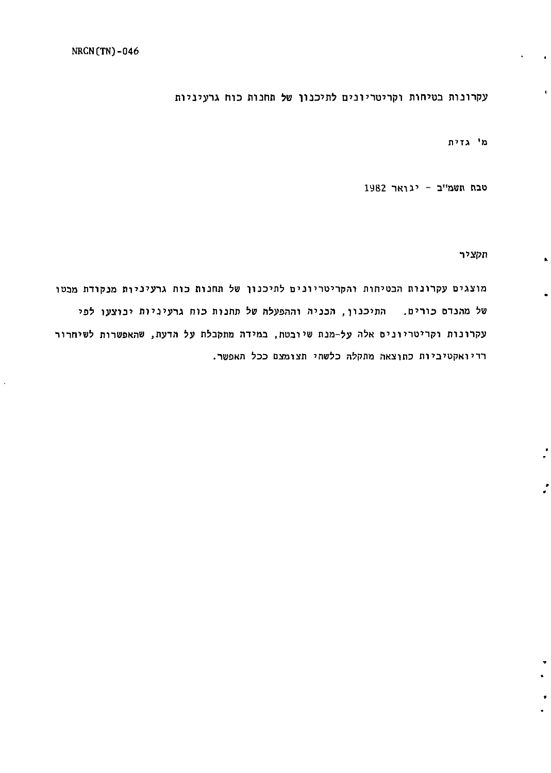עקרונות בטיחות וקריטריונים לתיכנון של תחנות כוח גרעיניות

**n'TA** *'a*  מן גזות

 $\bullet$ 

 $\cdot$ 

1982 INI:P - a"n»n nao טבח חשמ"ב - יגראר 1982

תקציר

מוצגים עקרונות הבטיחות והקריטריונים לתיכנון של תחנות כוח גרעיניות מנקודת מכטו של מהנדס כורים. התיכנון, הכניה וההפעלה של תחנות כוח גרעיניות יכוצעו לפי עקרונות וקריטריונים אלה על-מנת שיובטח, במידה מתקבלת על הדעת, שהאפשרות לשיחרור רדיואקטיביות כתוצאה מתקלה כלשהי תצומצם ככל האפשר.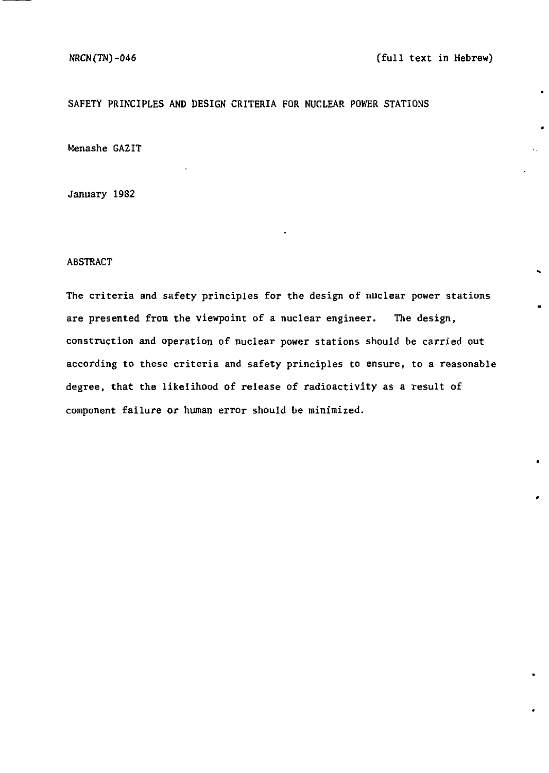## SAFETY PRINCIPLES AND DESIGN CRITERIA FOR NUCLEAR POWER STATIONS

**Menashe GAZIT**  t1enashe GAZ IT

**January 1982**  January 1982

#### **ABSTRACT**  ABSTRACT

**The criteria and safety principles for the design of nuclear power stations**  The criteria and safety principles for the design of nuclear power stations **are presented from the viewpoint of a nuclear engineer. The design,**  are presented from the viewpoint of a nuclear engineer. The design, **construction and operation of nuclear power stations should be carried out**  construction and operation of nuclear power stations should be carried out **according to these criteria and safety principles to ensure, to a reasonable**  according to these criteria and safety principles tO ensure, to a reasonable **degree, that the likelihood of release of radioactivity as a result of**  degree, that the likelihood of release of radioactivity as a result of **component failure or human error should be minimized.**  component failure or human error should be minimized.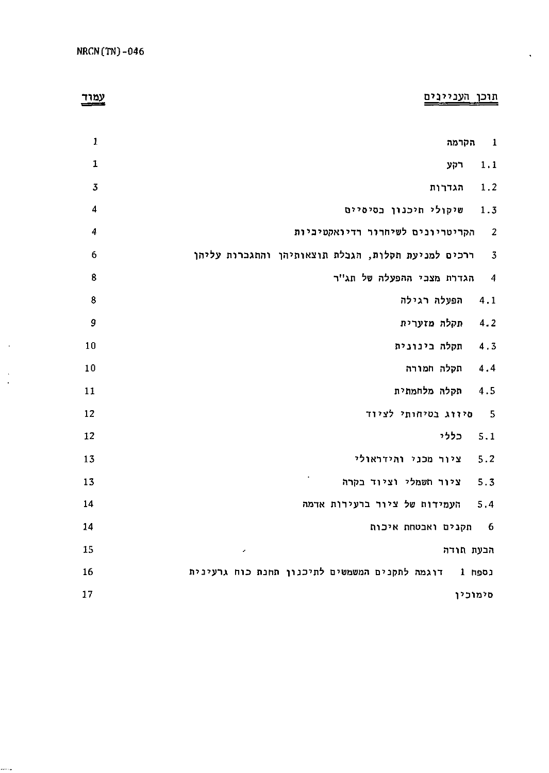| עמוד                    | תוכן העניינים                                                                 |
|-------------------------|-------------------------------------------------------------------------------|
|                         |                                                                               |
| 1                       | הקרמה<br>1                                                                    |
| 1                       | 1.1<br>רקע                                                                    |
| $\overline{\mathbf{3}}$ | 1.2<br>הגדרות                                                                 |
| 4                       | שיקולי חיכנון בסיסיים<br>1.3                                                  |
| 4                       | $\overline{\mathbf{z}}$<br>הקריטריונים לשיחרור רדיואקטיביות                   |
| 6                       | ררכים למניעת חקלות, הגבלת תוצאותיהן והחגברות עליהן<br>$\overline{\mathbf{3}}$ |
| 8                       | הגדרת מצכי ההפעלה של תג"ר<br>$\overline{4}$                                   |
| 8                       | הפעלה רגילה<br>4.1                                                            |
| 9                       | 4.2<br>תקלה מזערית                                                            |
| 10                      | תקלה בינונית<br>4.3                                                           |
| 10                      | 4.4<br>תקלה חמורה                                                             |
| 11                      | 4.5<br>תקלה מלחמחית                                                           |
| 12                      | סיווג בטיחותי לציוד<br>$\overline{\phantom{0}}$                               |
| 12                      | כללי<br>5.1                                                                   |
| 13                      | 5.2<br>ציור מכני והידראולי                                                    |
| 13                      | 5.3<br>ציור חשמלי וציוד בקרה                                                  |
| 14                      | העמידות של ציור ברעירות אדמה<br>5.4                                           |
| 14                      | חקנים ואבטחת איכות<br>- 6                                                     |
| 15                      | הבעת תודה<br>$\overline{\phantom{a}}$                                         |
| 16                      | דוגמה לתקנים המשמשים לתיכנון תחנת כוח גרעינית<br>נספח 1                       |
| 17                      | סימוכין                                                                       |

 $\ddot{\phantom{a}}$ 

 $\ddot{\phantom{a}}$ 

......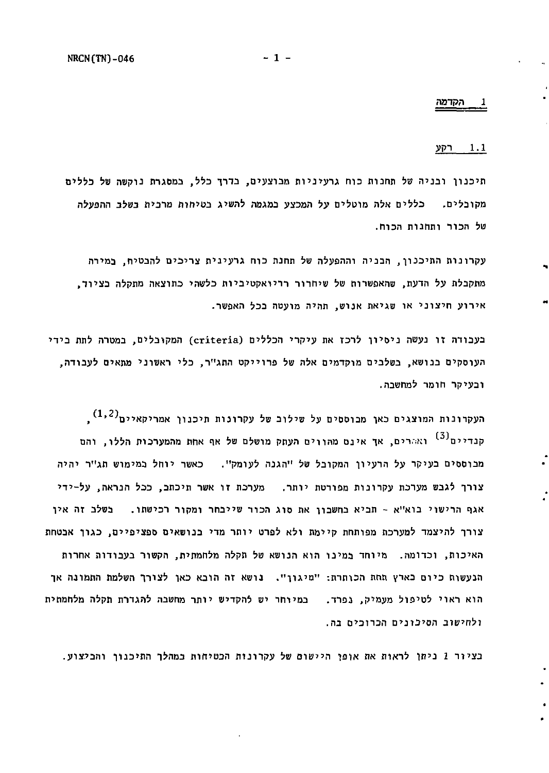#### *naipn 1*  הקדמה

#### 1.1 רקע

תיכנון ובניה של תחנות כוח גרעיניות מבוצעים, בדרך כלל, במסגרת נוקשה של כללים מקובלים. כללים אלה מוטלים על המכצע במגמה להשיג בטיחות מרכית בשלב ההפעלה של הכור ותחנות הכוח.

עקרונות התיכנון, הבניה וההפעלה של תחנת כוח גרעינית צריכים להבטיח, במירה מתקבלת על הדעת, שהאפשרות של שיחרור רריואקטיכיות כלשהי כתוצאה מתקלה בציוד, .אירוע חיצוני או שגיאת אנוש, תהיה מועטה ככל האפשר

בעכודה זו נעשה ניסיון לרכז את עיקרי הכללים (criteria) המקובלים, במטרה לתת בידי העוסקים בנושא, בשלבים מוקדמים אלה של פרוייקט התג"ר, כלי ראשוני מתאים לעבודה, ובעיקר חומר למחשבה.

, העקרונות המוצגים כאן מבוססים על שילוב של עקרונות תיכנון אמריקאיים<sup>(1,2)</sup>, קנדיים<sup>(כ)</sup> ואמרים, אך אינם מהווים העתק מושלם של אף אחת מהמערכות הללו, והם מבוססים בעיקר על הרעיון המקובל של "הגנה לעומק". כאשר יוחל במימוש תג"ר יהיה צורך לגבש מערכת עקרונות מפורטת יותר. מערכת זו אשר תיכתב, ככל הנראה, על-ידי אגף הרישוי בוא"א - תביא בחשבון את סוג הכור שייבחר ומקור רכישתו. - בשלב זה אין צורך להיצמד למערכת מפותחת קיימת ולא לפרט יוחר מדי בנושאים ספציפיים, כגון אבטחת האיכות, וכדומה. מיוחד במינו הוא הנושא של תקלה מלחמתית, הקשור בעבודות אחרות הנעשות כיום בארץ תחת הכותרת: "מיגון". נושא זה הובא כאן לצורך השלמת התמונה אך הוא ראוי לטיפול מעמיק, נפרד. במיוחר יש להקדיש יותר מחשבה להגדרת תקלה מלחמתית .na D'anan o'jia'o n aia'nbi זלחישרב הסינזבים הנרזכים בה.

בציור 1 ניתן לראות את אופן היישום של עקרונות הכטיחות במהלך התיכנון והביצוע.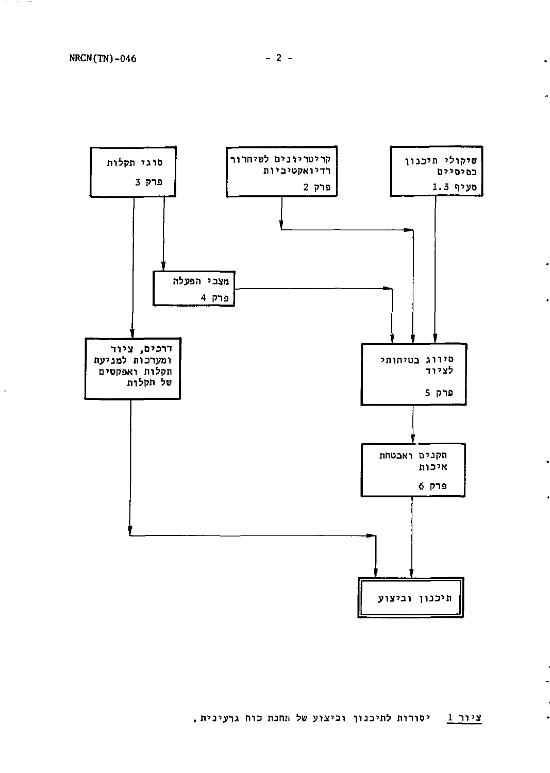$\overline{\phantom{a}}$ 

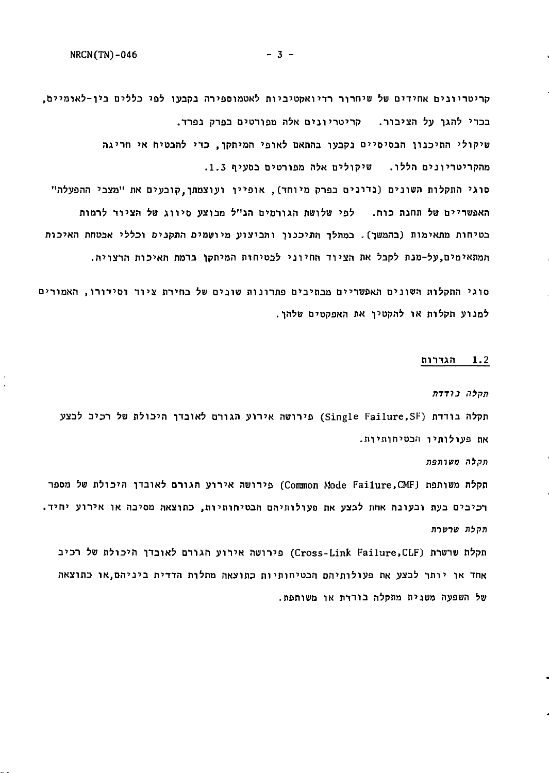,a"»ixb-i> a tnbba 'a!> lyapa m'soinoK!" ni»a'opm»Ti inti' > *bii* CPITI N B'unon p קריטריינים אחידים של שיחרור רדיואקטיביוח לאטמוספירה נקבעו לפי כללים ביך-לאומיים, בכדי להגן על הציבור. - קריטריונים אלה מפורטים בפרק נפרד. שיקולי התיכנון הבסיסיים נקבעו בהתאם לאופי המיתקן, כדי להבטיח אי חריגה .1.3 q'yoa D'unian nbx O'SIP' B . i» n o>ii'ioiipn n מהקריטריונים הללי. שיקולים אלה מפירטים בסעיף 1.3 . סוגי התקלות השונים (נדונים בפרק מיוחד), אופיין ועוצמתן,קובעים את "מצבי ההפעלה" <mark>האפשריים של תחנת כוח. לפי שלושת הגורמים הנ"ל מבוצע סיווג של הציוד לרמות</mark> בטיחות מחאימות (בהמשך). כמהלך התיכנון והביצוע מיושמים התקנים וכללי אבטחח האיכות

סוגי התקלות השונים האפשריים מבחיבים פחרונות שונים של בחירת ציוד וסידורו, האמורים למנוע תקלות או להקטין את האפקטים שלהן.

המתאימים,על-מנת לקבל את הציוד החיוני לבטיחות המיתקן ברמת האיכות הרצויה.

## **miiAii 1.2**  1.2 הגררית

תקלה בודדת

תקלה בודדת (Single Failure,SF) פירושה אירוע הגורם לאובדן היכולת של רכיב לבצע .m>mn»oaii l'nibiya nx את פעולותיו הבטיחותיית.

*Tinman nbpn*  תקלה משרתפת

תקלה משותפת (Common Mode Failure,CMF) פירושה אירוע הגורם לאובדן היכולת של מספר רכיבים בעת ובעונה אחת לבצע את פעולותיהם הבטיחותיות, כתוצאה מסיבה או אירוע יחיד. *rnviv nipn*  תקלת שרשרת

a'a i t>B niia' n limn ^ Oin n yiv x nBlTa (Cross-Link Failure,CLF) niBlB *nbpn*  חקלת שרשרת ( CLF,Failure Link-Cross ( פירישה איריע הגירם לאיבדך היכילת של רכיב אחד או יותר לבצע את פעולותיהם הבטיחותיות כתוצאה מתלוח הדדית ביניהם,או כתוצאה של השפעה משנית מתקלה בודדת או משותפת.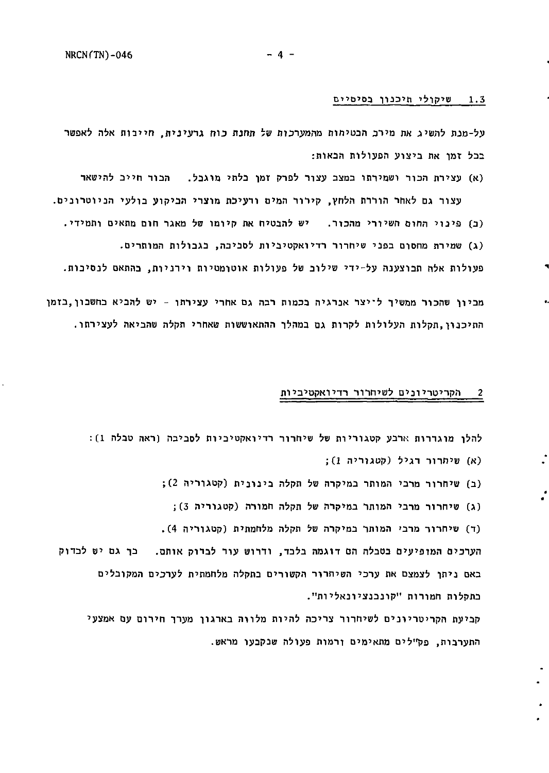#### שיקולי חיכנון בסיסיים 1.3

על-מנת להשיג את מירב הבטיחות מהמערכות של תחנת כוח גרעינית. חייבות אלה לאפשר בכל זמן את ביצוע הפעולות הבאות:

(א) עצירת הכור ושמירתו במצב עצור לפרק זמו בלתי מוגבל. - הכור חייב להישאר

עצור גם לאחר הוררת הלחץ, קירור המים ורעיכת מוצרי הביקוע בולעי הניוטרונים. (ב) פינוי החום השיורי מהכור. "ש להבטיח את קיומו של מאגר חום מתאים ותמידי. (ג) שמירת מחסום בפני שיחרור רדיואקטיביות לסביבה. בגבולות המותרים.

פעולות אלה תבוצענה על-ידי שילוב של פעולות אוטומטיות וירניות, בהתאם לנסיבות.

מכיון שהכור ממשיך לייצר אנרגיה בכמות רבה גם אחרי עצירתן – יש להביא כחשבון,בזמן התיכנון.תקלות העלולות לקרות גם במהלך ההתאוששות שאחרי תקלה שהביאה לעצירתו.

#### הקריטריונים לשיחרור רדיואקטיביות  $\overline{2}$

להלו מוגררות ארבע קטגוריות של שיחרור רדיואקטיביות לסביבה (ראה טבלה 1): (א) שיחרור רגיל (קטגוריה 1);

- (ב) שיחרור מרבי המותר במיקרה של תקלה בינונית (קטגוריה 2);
	- (ג) שיחרור מרבי המותר במיקרה של תקלה חמורה (קטגוריה 3);
- (ד) שיחרור מרבי המותר במיקרה של תקלה מלחמתית (קטגוריה 4).

בר גם יש לבדוק הערכים המופיעים בטבלה הם דוגמה בלבד, ודרוש עור לברוק אותם. באם ניתר לצמצם את ערכי השיחרור המשורים בתקלה מלחמתית לערכים המקובלים בתקלות חמורות "קונכנציונאליות".

קביעת הקריטריונים לשיחרור צריכה להיות מלווה בארגון מערך חירום עם אמצעי התערבות, פק"לים מתאימים ורמות פעולה שנקבעו מראש.

 $-4 -$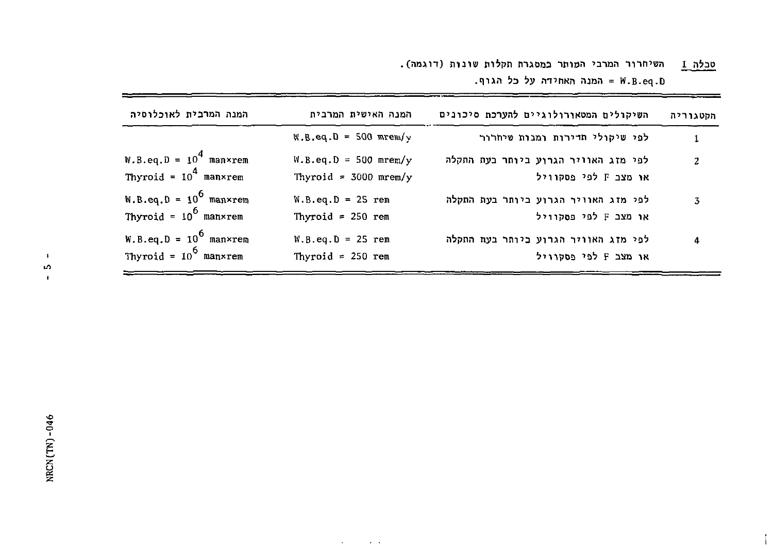טבלה 1 השיחרור המרבי המותר במסגרת תקלות שונות (דוגמה).

W.B.eq.D = המנה האחידה על כל הגוף.

ţ

| המנה המרבית לאוכלוסיה     | המנה האישית המרבית      | השיקולים המטאורולוגיים להערכת סיכונים | הקטגוריה |
|---------------------------|-------------------------|---------------------------------------|----------|
|                           | $W.B.eq.D = 500$ wrew/y | לפי שיקולי תדירות ומנות שיחרור        | 1        |
| $W.B.eq.D = 104$ man×rem  | $W.B.eq.D = 500 mrem/y$ | לפי מזג האוויר הגרוע ביותר בעת התקלה  | 2        |
| Thyroid = $10^4$ manxrem  | Thyroid = $3000$ mrem/y | או מצב F לפי פסקוויל                  |          |
| $W.B.eq.D = 10^6$ man×rem | $W.B.eq.D = 25 rem$     | לפי מזג האוויר הגרוע ביותר בעת התקלה  | 3        |
| Thyroid = $10^6$ man×rem  | Thyroid = $250$ rem     | או מצב F לפי פסקוויל                  |          |
| W.B.eq.D = $10^6$ man×rem | $W.B.eq.D = 25$ rem     | לפי מזג האווזר הגרוע ביותר בעת התקלה  | 4        |
| Thyroid = $10^6$ man×rem  | Thyroid = $250$ rem     | או מצב F לפי פסקוויל                  |          |

 $\mathcal{A}(\mathcal{A})$  and  $\mathcal{A}(\mathcal{A})$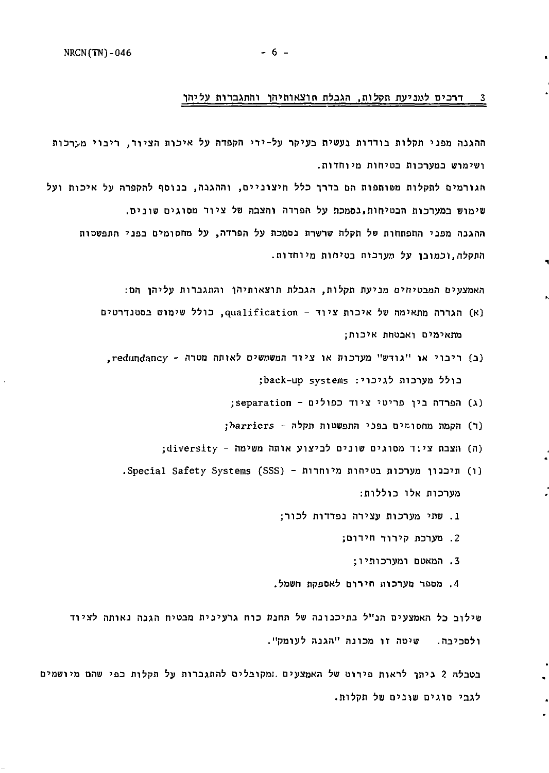#### 3 - דרכים לנוביעת תקלות, הגבלת חוצאותיהן והתגברות עליהן

ההגנה מפני תקלות בודדות בעשית בעיקר על-ידי הקפדה על איכות הציוד, ריבוי מ**ערכ**ות .nnin' n mn'oa nianyna oin'tn ןשימןש במערכןת בטיחית מייחדית.

*by\* nia'K *by mapnb* qoiaa .najtnni ,cp-oix>n bia i- m on manion niipnb o>mian הגזדמים לתקלית משיתפות הם בדרך כלל חיצוניים, יההגגה, בנוסף להקפדה על איכית יעל שימוש במערכות הבטיחות,נסמכת על הפרדה והצבה של ציוד מסוגים שונים. ההגנה מפני התפתחות של תקלת שרשרת נסמכת על הפרדה, על מחסומים בפני התפשטות התקלה,וכמובן על מערכות בטיחות מיוחדות.

האמצעים המבטיחים מניעת תקלות, הגבלת תוצאותיהן והתגבדות עליהן הם:

- (א) הגדרה מתאימה של איכות ציוד qualification, כולל שימוש בסטנדרטים ;nia'K nnoaxi o'n'Knn מתאימים ואבטחת איכית;
	- (ב) ריבוי או "גודש" מערכות או ציוד המשמשים לאותה מטרה redundancy, בולל מערכות לגיכוי: back-up systems;
		- (ג) הפרדה בין פריטי ציוד כפולים separation;
		- ;harriers נד) הקמת מחסומים בפני התפשטות תקלה
		- ;diversity הצבת ציון מסוגים שונים לביצוע אותה משימה)
		- .Special Safety Systems (SSS) מיכנון מערכות בטיחות מיוחדות) מערכות אלו כוללות:
			- ;iia b nms j ni's y nianyn 'no .1 1 . שתי מערכות עצירה נפדדות לכור;
				- ;on' n in' p naiyn .2 2 . מערכת קירור תירום;
					- ;i»maij>Bi DoNnn .3 3 . המאטם ומערכותיו;
			- 4. מספר מערכות חירום לאספקת חשמל.

שילוב כל האמצעים הנ"ל בתיכנונה של תחנת כוח גרעינית מבטיח הגנה נאותה לציוד ."pmyb naan" naian IT no'B .nn'aobi ילסכיבה. שיטה זו מכרבה "הגנה לערמק",

בטבלה 2 ניתן לראות פירוט של האמצעים *.*ומקובלים להתגברות על תקלות כפי שהם מיושמים **.nibpn ba d'aia D'JIO 'aab**  לגבי סוגים שןנים של תקלות.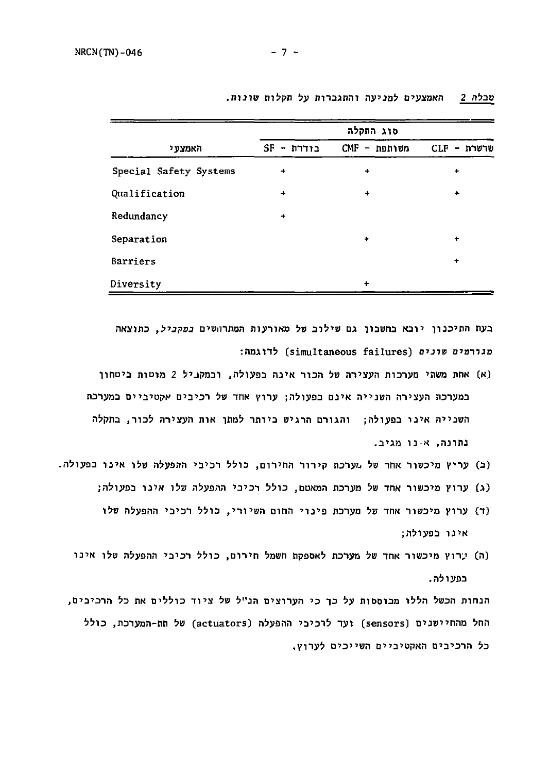|                        | סוג התקלה  |                  |             |  |
|------------------------|------------|------------------|-------------|--|
| האמצעי                 | בודדת - SF | $CMF - n$ משותפת | טרשרת - CLF |  |
| Special Safety Systems | $\ddot{}$  | ٠                | ۰           |  |
| Qualification          | $\ddot{}$  | $\ddot{}$        | $\ddot{}$   |  |
| Redundancy             | ÷          |                  |             |  |
| Separation             |            | ۰                | ۰           |  |
| Barriers               |            |                  | ٠           |  |
| Diversity              |            | $\ddot{}$        |             |  |

האמצעים למניעה והתגברות על תקלות שונות. טבלה 2

בעת החיכנון יובא בחשבון גם שילוב של מאורעות המתרהשים כמקביל, כתוצאה מגורמים שונים (simultaneous failures) לדוגמה:

- (א) אחת משהי מערכות העצירה של הכור אינה בפעולה, ובמקניל 2 מוטות ביטחון כמערכת העצירה השנייה אינם בפעולה; ערוץ אחד של רכיבים אקטיביים במערכת השנייה אינו בפטולה: והגורם הרגיש ביותר למתו אות העצירה לכור. בתקלה נתונה. א נו מגיב.
- (ב) עריץ מיכשור אחר של מערכת קירור החירום, כולל רכיבי ההפעלה שלו אינו בפעולה.
	- (ג) ערוץ מיכשור אחד של מערכת המאטם, כולל רכיבי ההפעלה שלו אינו בפעולה;
	- (ד) ערוץ מיכשור אחד של מערכת פינוי החום השיורי, כולל רכיבי ההפעלה שלו אינו בפעולה;
	- (ה) ירוץ מיכשור אחד של מערכת לאספקת חשמל חירום. כולל רכיבי ההפעלה שלו אינו בפעולה.

הנחות הכשל הללו מבוססות על כך כי הערוצים הנ"ל של ציוד כוללים את כל הרכיבים, החל מהחיישנים (sensors) ועד לרכיבי ההפעלה (actuators) של תת-המערכת, כולל כל הרכיבים האקטיביים השייכים לערוץ.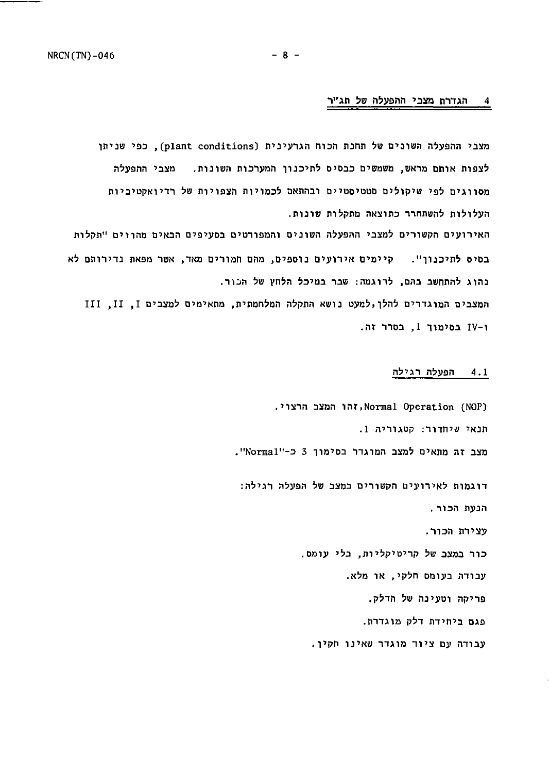### 4 הגדרת מצבי ההפעלה של תג"ר

מצבי ההפעלה השונים של תחנת הכוח הג<mark>ר</mark>עינית (plant conditions), כפי שניתן לצפות אותם מראש, משמשים כבסיס לתיכנון המערכות השונות. מצבי ההפעלה מסווגים לפי שיקולים סטטיסטיים ובהתאם לכמויות הצפויות של רדיואקטיביות העלולות להשתחרר כתוצאה מתקלות שונות.

האירועים הקשורים למצבי ההפעלה השונים והמפורטים בסעיפים הבאים מהווים "תקלות בסיס לתיכנון". ק*יימי*ם אירועים נוספים, מהם חמורים מאד, אשר מפאת נדירותם לא נהוג להתחשב בהם, לרוגמה: שבר במיכל הלחץ של הכור.

המצבים המוגדרים להלן,למעט נושא התקלה המלחמתית, מתאימים למצבים I, II, III .nr moa ,l nn'o a IV-i י- IV בסימיר 1 , בסדר זה.

## 4.1 הפעל<u>ה רגילה</u>

, Normal Operation (NOP),זהו המצב הרצוי. .1 תנאי שיחדור: קטגוריה 1. מצב זה מתאים למצב המוגדר בסימוך 3 כ-"Normal".

ד<mark>וגמות</mark> לאירועים הקשורים במצב של הפעלה רגילה: .-nan nyan הנעת הכיר .

.Tian nvxy עצירת הכיר.

**. oniy 'ia ,ni'l>p'D'ip >B axna iia**  כיר כמצכ של קריטיקלירת, בלי ערמס.

.Kin I N ,'pbn oaiya miay עברדה בערמס nלקי, אר מלא.

פריקה וטעינה של הדלק.

פגם ביחידת דלק מוגדרת.

עבודה עם ציוד מוגדר שאינו תקין.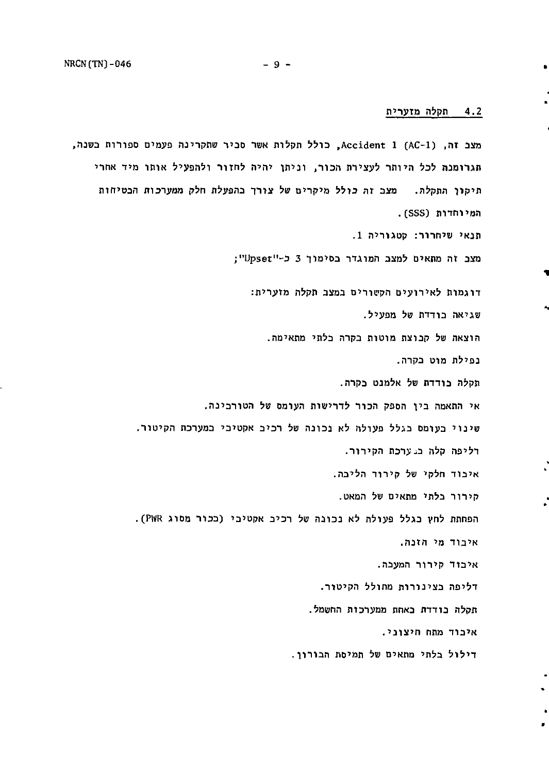## 4.2 תקלה מזערית

מצכ זה, Accident 1 (AC-1), כולל תקלות אשר סכיר שתקרינה פעמים ספורות בשנה, תגרומנה לכל היותר לעצירת הכור, וניתן יהיה לחזור ולהפעיל אותו מיד אחרי תיק**ון** התקלה. מצב זה כולל מיקרים של צורך בהפעלת חלק ממערכות הבטיחות המיוחדות (SSS).

תנאי שיחרור: קטגוריה 1.

מצב זה מתאים למצב המוגדר בסימוך 3 כ-"Upset";

דוגמות לאירועים הקשורים במצב תקלה מזערית:

.b'yan bo nm a nK'jo שגיאה ברדדת של מפעיל .

**.nn'Knn inba mp a nioin nxiap bo nKxin**  הרצאה של קבוצת מרטית בקרה בלתי מתאימה.

**.mpa oin nb'a:i**  נפילת מרט בקרה.

..

תקלה בודדת של אלמנט בקרה.

.njpa-non bo omyn mo'ii b iiari paon v a nnunn *•>«*  אי התאמה ביי הספק הברר לררישות הערמט של הטררבינה.

שינוי בעומס בגלל פעולה לא נכונה של רכיב אקטיבי במערכת הקיטור.

דליפה קלה כבערכת הקירור.

איכוד חלקי של קירור הליכה.

קירור כלתי מתאים של המאט.

הפחתת לחץ כגלל פעולה לא נכונה של רכיב אקטיבי (כ*כ*ור מסוג PWR).

**.natn 'n Tia'K**  איברד מי הזנה.

.naynn IIT P •na'K אינרד קיררר המעבה.

.Tiu'pn bbinn nnia's a na'bn דליפה נציניררת מחרלל הקיטרר.

**.baonn niaiyna nn«a nm a nbpn**  תקלה בודדת באחת ממערכרת החשמל.

איבוד מתח חיצוני.

**. Iiiian no'nn bo D->Knn 'nba bib'i**  דילול בלתי מתאים של תמיסת הניררי.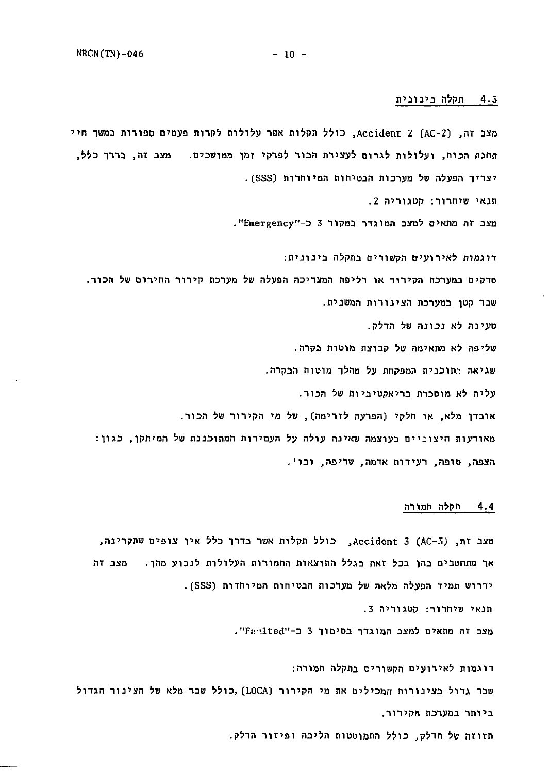# \_4.3 תקלה בינונית

מצב זה, (Accident 2 (AC-2), כולל תקלות אשר עלולות לקרות פעמים ספורות במשך חיי תחנת הכוח, ועלולות לגרום לעצירת הכור לפרקי זמן ממושכים. מצב זה, בררך כלל, יצריך הפעלה של מערכות הבטיחות המיוחרות (SSS).

תנאי שיחרור: קטגוריה 2.

מצב זה מתאים למצב המוגדר במקור 3 כ-"Emergency".

:ii'ji3'a iibpna o'liBpn o'yn'Nb ninan ררגמרת לאיררעים הקשררים בתקלה בינרנית: .Tian it) oi-pnn II-PP naiyn b» nbyan nanxnn no'bn IN II-PPJI roiyna D'pio מדקים במערכת הקירןר אן דליפה המצריכה הפעלה של מערכת קירןר החיררס של הכרר. שבר קטן במערכת הצינורות המשנית. טעינה לא נכונה של הדלק. שליפה לא מתאימה של קבוצת מוטות בקרה. שגיאה מתוכנית המפקחת על מהלך מוטות הבקרה. עליה לא מוסכרת כריאקטיביות של הכור. אובדן מלא, או חלקי (הפרעה לזרימה), של מי הקירור של הכור. :מאורעות חיצוביים בעוצמה שאינה עולה על העמידות המתוכבבת של המיתקן, כגון .'i3 i ,iiD'iB ,/imn nn'y i ,naiD ,nsxn הצפה, םופה, רעידות אדמה, שריפה, ןכןי .

### 4.4 תקלה חמ<u>ורה</u>

מצב זה, (AC-3) Accident 3, כולל תקלות אשר כדרך כלל אין צופים שתקרינה, אך מתחשבים בהן בכל זאת כגלל התוצאות החמורות העלולות לנבוע מהן. מצב זה ידרוש תמיד הפעלה מלאה של מערכות הבטיחות המיוחדות (SSS). מצב זה

.3 תנאי שיחרור: קטגוריה 3

מצב זה מתאים למצב המוגדר בסימוך 3 כ-"Farilted".

דוגמות לאירועים הקשורים בתקלה חמורה: שבר גדול בצינורות המכילים את מי הקירור (LOCA),כולל שבר מלא של הצינור הגדול ביותר במערכת הקירור.

תזוזה של הדלק, כולל התמוטטות הליבה ופיזור הדלק.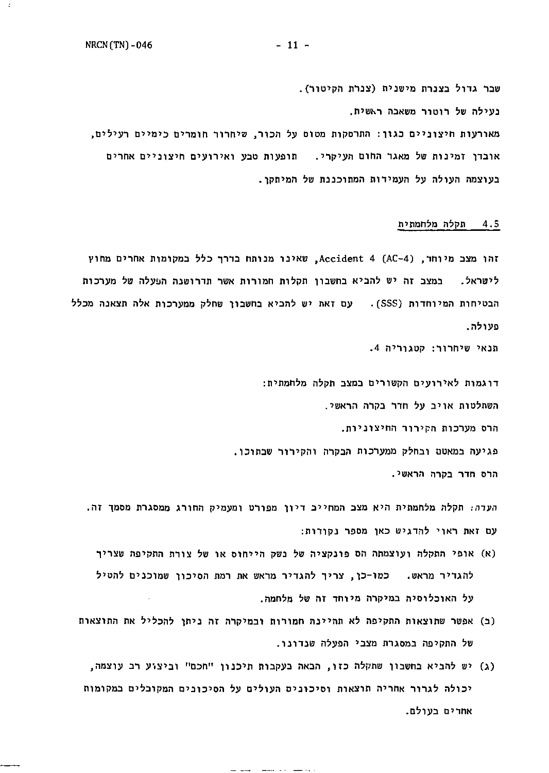שבר גדול בצנרת מישנית (צנרת הקיטור).

נעילה של רוטור משאבה ראשית.

מאורעות חיצוניים כגון: התרסקות מטוס על הכור, שיחרור חומרים כימיים רעילים, אובדן זמינות של מאגר החום העיקרי. | תופעות טבע ואירועים חיצוניים אחרים בעוצמה העולה על העמידות המתוכננת של המיתקן.

## n'nnnbn nbpn 4.5 4.5 תקלה מלחמתית

זהו מצב מיוחד, Accident 4 (AC-4), שאינו מנותח בדרך כלל במקומות אחרים מחוץ לישראל. במצב זה יש להביא בחשבון תקלית חמורות אשר תדרושנה הצעלה של מערכות הבטיחות המיוחדות (SSS). עם זאת יש להביא בחשבון שחלק ממערכות אלה תצאנה מכלל .nbiya פעולה.

תנאי שיחרור: קטגוריה 4.

דוגמות לאירועים הקשורים במצב תקלה מלחמתית:

השתלטות אויב על חד**ר** בקרה הראשי.

הרס מערכות הקירור החיצוניות.

פגיעה במאטם ובחלק ממערכות הבקרה והקירור שבתוכו. הרס חדר בקרה הראשי.

הערה: תקלה מלחמתית היא מצב המחייב דיון מפורט ומעמיק החורג ממסגרת מסמך זה.

- עם זאת ראוי להדגיש כאן מספר נקודות:
- (א) אופי התקלה ועוצמתה הם פונקציה של נשק הייחוס או של צורת התקיפה שצריך להגדיר מראש.  $\,$ כמו-כן, צריך להגדיר מראש את רמת הסיכון שמוכנים להטיל על האוכלוסיה במיקרה מיוחד זה של מלחמה.
- (ב) אפשר שתוצאות התקיפה לא תהיינה חמורות ובמיקרה זה ניתן להכליל את התוצאות של התקיפה במסגרת מצבי הפעלה שנדונו.
- (ג) יש להביא בחשבון שתקלה כזו, הבאה בעקבות תיכנון "חכם" וביצוע רב עוצמה, יכולה לגרור אחריה תוצאות וסיכונים העולים על הסיכונים המקובלים במקומות .obiya D'inN אחרים בערלם.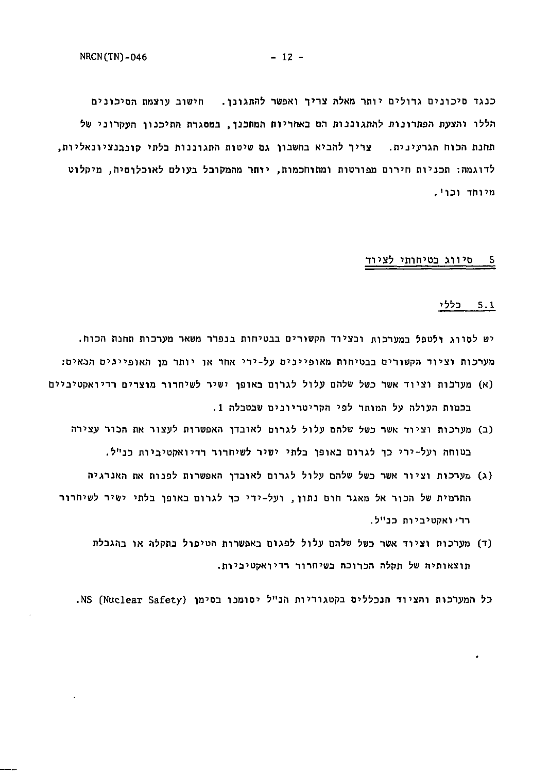כנגד סיכונים גרולים יותר מאלה צריך ואפשר להתגונן. - חישוב עוצמת הסיכונים הללו והצעת הפתרונות להתגוננות הם באחריות המתכנן, במסגרת התיכנון העקרוני של תחנת הכוח הגרעינית. צריך להביא בחשבון גם שיטות התגוננות בלתי קונבנציונאליות, לדוגמה: תכניות חירום מפורטות ומתוחכמות. יותר מהמקובל בעולם לאוכלוסיה. מיקלוט מיוחד וכו'.

#### סיווג בטיחותי לציוד 5

#### 5.1 כללי

יש לסווג ולטפל במערכות וכציוד הקשורים בבטיחות בנפרר משאר מערכות תחנת הכוח. מערכות וציוד הקשורים בבטיחות מאופיינים על-ידי אחד אן יותר מן האופיינים הבאים:

- (א) מערכות וציוד אשר כשל שלהם עלול לגרום באופו ישיר לשיחרור מוצרים רדיואקטיביים בכמות העולה על המותר לפי הקריטריונים שבטבלה 1.
	- (ב) מערכות וציוד אשר כשל שלהם עלול לגרום לאובדן האפשרות לעצור את הכור עצירה בטוחה ועל-ירי כך לגרום באופן בלתי ישיר לשיחרור רדיואקטיביות כנ"ל.
	- (ג) מערכות וציור אשר כשל שלהם עלול לגרום לאובדן האפשרות לפנות את האנרגיה התרמית של הכור אל מאגר חום נתון, ועל-ידי כך לגרום באופן בלתי ישיר לשיחרור רריואקטיביות כנ"ל.
		- (ד) מערכות וציוד אשר כשל שלהם עלול לפגום באפשרות הטיפול בתקלה או בהגבלת תוצאותיה של תקלה הכרוכה בשיחרור רדיואקטיביות.

כל המערכות והציוד הנכללים בקטגוריות הנ"ל יסומנו בסימן (Nuclear Safety.

 $-12-$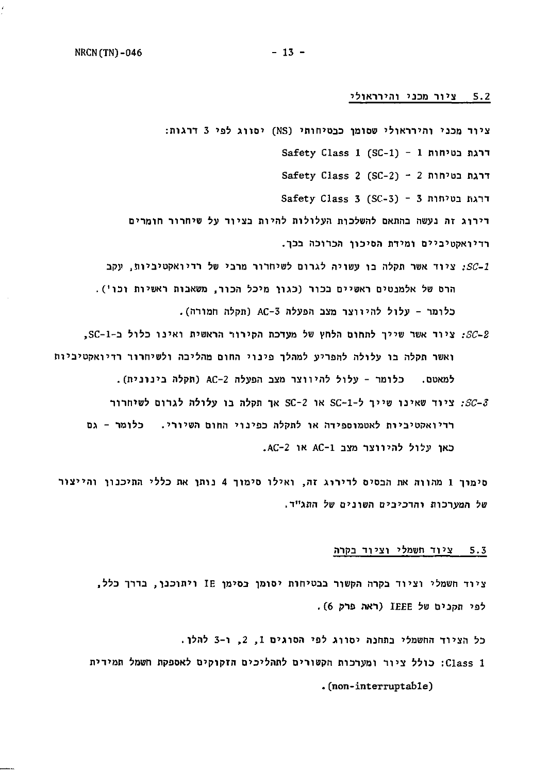# 5.2 ציור מכני והירראולי

- ציוד מכני והירראולי שסומו כבסיחותי (NS) יסווג לפי 3 דרגות:
	- Safety Class 1 (SC-1) 1 הרגת בטיחות
	- Safety Class 2 (SC-2) 2 דרגת בטיחות
	- Safety Class 3 (SC-3) 3 nintu Class 3
- דירוג זה נעשה בהתאם להשלכות העלולות להיות בציוד על שיחרור חומרים רדיואקטיביים ומידת הסיכוו הכרוכה בכר.
- ציוד אשר תקלה בו עשויה לגרום לשיחרור מרבי של רדיואקטיביות. עקב  $\mathit{s}\mathit{c}\text{-}1$ הרס של אלמנטים ראשיים בכור (כגון מיכל הכור, משאבות ראשיות וכו'). כלומר - עלול להיווצר מצב הפעלה AC-3 (תקלה חמורה).
- . ציוד אשר שייך לתחום הלחץ של מעדכת הקירור הראשית ואינו כלול ב-SC-1. ואשר תקלה בו עלולה להפריע למהלך פינוי החום מהליבה ולשיחרור רדיואקטיביות למאטם. כלומר - עלול להיווצר מצב הפעלה AC-2 (חקלה בינונית).
	- נ ציוד שאינו שייך ל-SC-1 או SC-2 אד תקלה בו עלולה לגרום לשיחרור . $SC-3$ רדיואקטיביות לאטמוספידה או לתקלה כפינוי החום השיורי. כלומר - גם כאו עלול להיווצר מצב AC-1 או AC-2.

סימוך 1 מהווה את הבסיס לדירוג זה, ואילו סימוך 4 נותן את כללי התיכנון והייצור של המטרכות והרכיבים השונים של התג"ד.

### 5.3 ציוד חשמלי וציוד בקרה

ציוד חשמלי וציוד בקרה הקשור בבטיחות יסומן בסימן IE ויתוכנן, בדרך כלל, לפי תקנים של IEEE (ראה פרק 6).

כל הציוד החשמלי בתחנה יסווג לפי הסוגים 1, 2, ו-3 להלן. Class 1: כולל ציור ומערכות הקשורים לתהליכים הזקוקים לאספקת חשמל תמידית .(non-interruptable)

 $-13 -$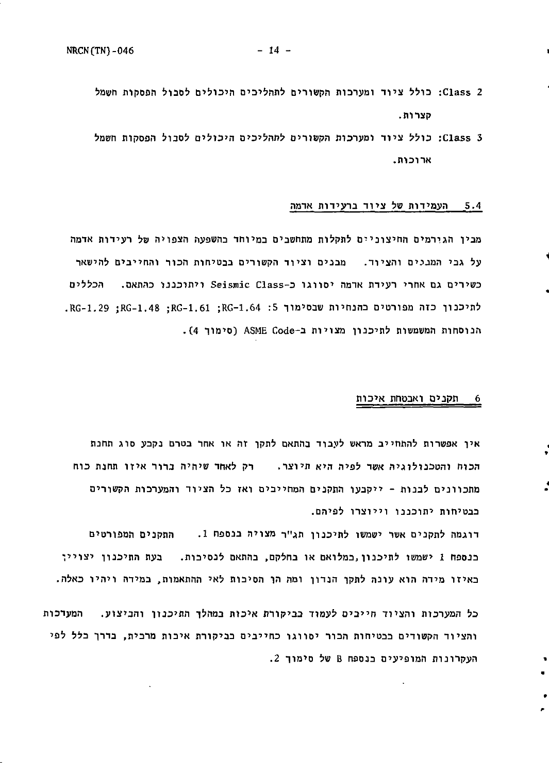3 Class: כולל ציוד ומערכות הקשורים לתהליכים היכולים לסבול הפסקות חשמל ארוכות.

#### 5.4 העמידות של ציוד ברעידות אדמה

מביו הגירמים החיצוניים לתקלות מתחשבים במיוחד בהשפעה הצפויה של רעידות אדמה על גבי המבנים והציוד. | מבנים וציוד הקשורים בבטיחות הכור והחייבים להישאר כשירים גם אחרי רעידת אדמה יסווגו כ-Seismic Class ויתוכננו כהתאם. - הכללים לתיכנון כזה מפורטים בהנחיות שבסימוך 5: RG-1.61; RG-1.48; RG-1.48; RG-1.29. הנוסחות המשמשות לתיכנון מצויות ב-ASME Code (סימור 4).

#### תקנים ואבטחת איכות - 6

אין אפשרות להתחייב מראש לעבוד בהתאם לתקן זה או אחר בטרם נקבע סוג תחנת הכוח והטכנולוגיה אשד לפיה היא תיוצר. - רק לאחד שיהיה ברור איזו תחנת כוח מתכוונים לבנות – ייקבעו התקנים המחייבים ואז כל הציוד והמערכות הקשורים בבטיחות יתוכננו וייוצרו לפיהם.

דוגמה לתקנים אשר ישמשו לתיכנון תג"ר מצויה בנספח 1. התקנים המפורטים בנספח 1 ישמשו לתיכנון,כמלואם או בחלקם, בהתאם לנסיבות. בעת התיכנון יצויין באיזו מידה הוא עונה לתקן הנדון ומה הן הסיבות לאי ההתאמות, במידה ויהיו כאלה.

המעדכות כל המערכות והציוד חייבים לעמוד בביקורת איכות במהלך התיכנון והביצוע. והציוד הקשודים ככטיחות הכור יסווגו כחייבים כביקורת איכות מרכית, בדרך כלל לפי העקרונות המופיעים בנספח B של סימוך 2.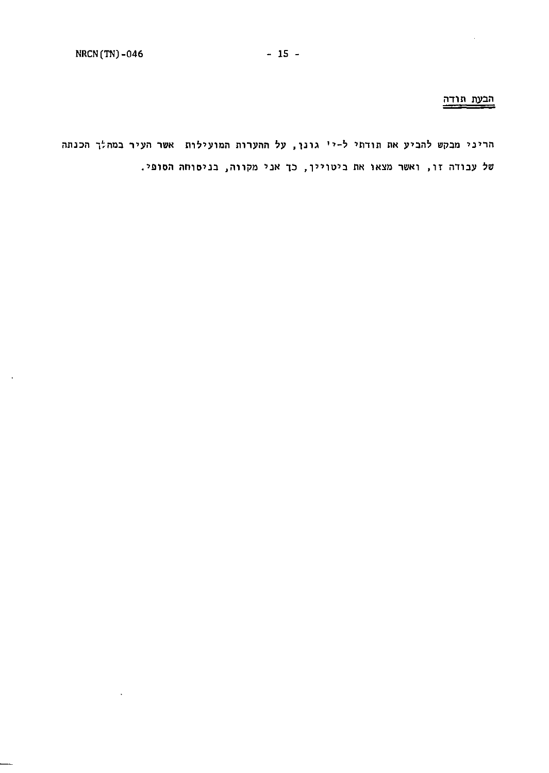$\sim 10^{-11}$ 

 $\ddot{\phantom{a}}$ 

# <u>הבעת תודה</u>

הריני מבקש להביע את תודתי ל-י' גונן, על ההערות המועילות אשר העיר במהלך הכנתה של עבודה זו, ואשר מצאו את ביטויין, כך אני מקווה, בניסוחה הסופי.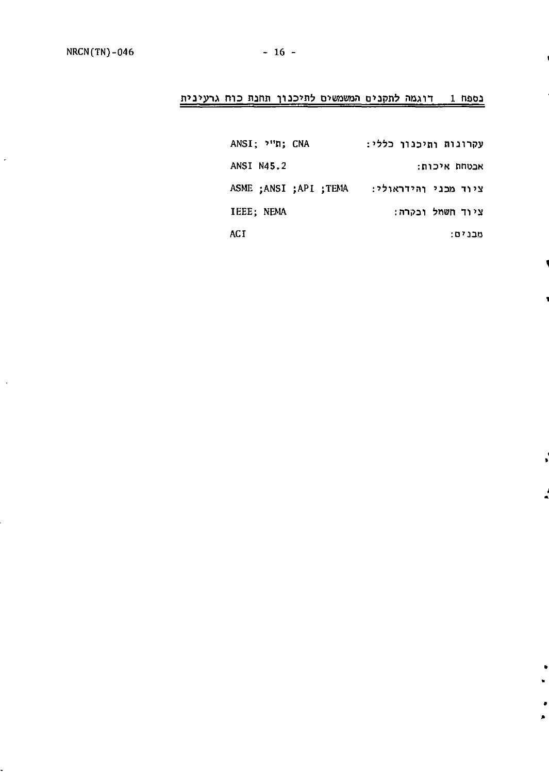$\ddot{\phantom{a}}$ 

÷,

| ANSI: ת"י CNA         | עקרונות ותיכנון כללי: |
|-----------------------|-----------------------|
| ANSI N45.2            | אבטחח איכות:          |
| ASME :ANSI :API :TEMA | ציוד מכני והידראולי:  |
| <b>IEEE: NEMA</b>     | ציוד חשמל ובקרה:      |
| ACI                   | מבנים:                |

j,

í.

٠  $\blacksquare$  $\bullet$  $\bullet$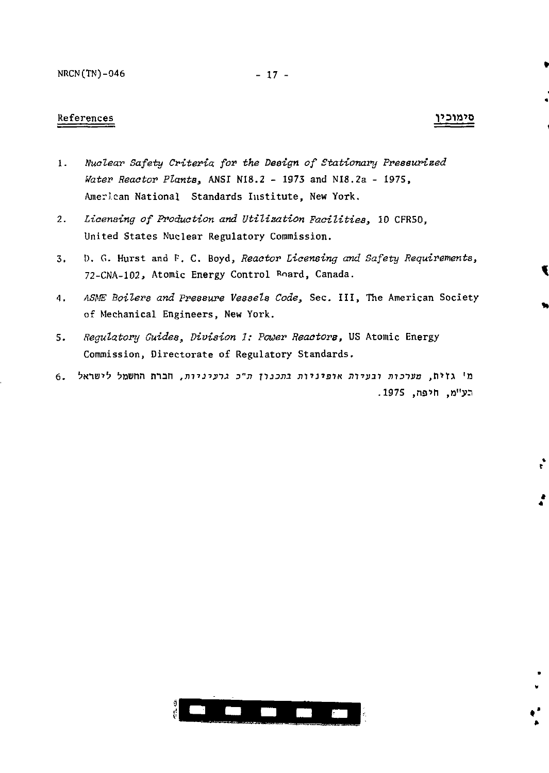# References

#### $\mathbf{L}$ Nuclear Safety Criteria for the Design of Stationary Pressurized Water Reactor Plants, ANSI N18.2 - 1973 and N18.2a - 1975, American National Standards Institute. New York.

- $2.$ Licensing of Production and Utilization Facilities, 10 CFR50. United States Nuclear Regulatory Commission.
- D. G. Hurst and F. C. Boyd, Reactor Licensing and Safety Requirements,  $3.$ 72-CNA-102, Atomic Energy Control Roard, Canada.
- ASME Boilers and Pressure Vessels Code, Sec. III, The American Society  $\mathbf{4}$ . of Mechanical Engineers, New York.
- $5.$ Regulatory Guides, Division 1: Power Reactors, US Atomic Energy Commission, Directorate of Regulatory Standards.
- מ' גזית, מערכות ובעיות אופיניות בתכנון ת"כ גרעיניות, חברת החשמל לישראל הע"מ, חיפה, 1975.



# סימוכין

 $\ddot{\cdot}$